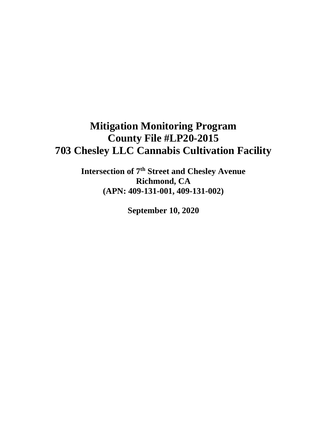# **Mitigation Monitoring Program County File #LP20-2015 703 Chesley LLC Cannabis Cultivation Facility**

**Intersection of 7th Street and Chesley Avenue Richmond, CA (APN: 409-131-001, 409-131-002)**

**September 10, 2020**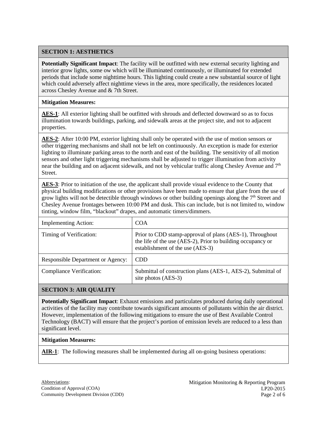# **SECTION 1: AESTHETICS**

**Potentially Significant Impact**: The facility will be outfitted with new external security lighting and interior grow lights, some ow which will be illuminated continuously, or illuminated for extended periods that include some nighttime hours. This lighting could create a new substantial source of light which could adversely affect nighttime views in the area, more specifically, the residences located across Chesley Avenue and & 7th Street.

### **Mitigation Measures:**

**AES-1**: All exterior lighting shall be outfitted with shrouds and deflected downward so as to focus illumination towards buildings, parking, and sidewalk areas at the project site, and not to adjacent properties.

**AES-2**: After 10:00 PM, exterior lighting shall only be operated with the use of motion sensors or other triggering mechanisms and shall not be left on continuously. An exception is made for exterior lighting to illuminate parking areas to the north and east of the building. The sensitivity of all motion sensors and other light triggering mechanisms shall be adjusted to trigger illumination from activity near the building and on adjacent sidewalk, and not by vehicular traffic along Chesley Avenue and 7<sup>th</sup> Street.

**AES-3**: Prior to initiation of the use, the applicant shall provide visual evidence to the County that physical building modifications or other provisions have been made to ensure that glare from the use of grow lights will not be detectible through windows or other building openings along the  $7<sup>th</sup>$  Street and Chesley Avenue frontages between 10:00 PM and dusk. This can include, but is not limited to, window tinting, window film, "blackout" drapes, and automatic timers/dimmers.

| <b>Implementing Action:</b>              | <b>COA</b>                                                                                                                                                  |
|------------------------------------------|-------------------------------------------------------------------------------------------------------------------------------------------------------------|
| Timing of Verification:                  | Prior to CDD stamp-approval of plans (AES-1), Throughout<br>the life of the use (AES-2), Prior to building occupancy or<br>establishment of the use (AES-3) |
| <b>Responsible Department or Agency:</b> | <b>CDD</b>                                                                                                                                                  |
| <b>Compliance Verification:</b>          | Submittal of construction plans (AES-1, AES-2), Submittal of<br>site photos (AES-3)                                                                         |

## **SECTION 3: AIR QUALITY**

**Potentially Significant Impact**: Exhaust emissions and particulates produced during daily operational activities of the facility may contribute towards significant amounts of pollutants within the air district. However, implementation of the following mitigations to ensure the use of Best Available Control Technology (BACT) will ensure that the project's portion of emission levels are reduced to a less than significant level.

#### **Mitigation Measures:**

**AIR-1**: The following measures shall be implemented during all on-going business operations: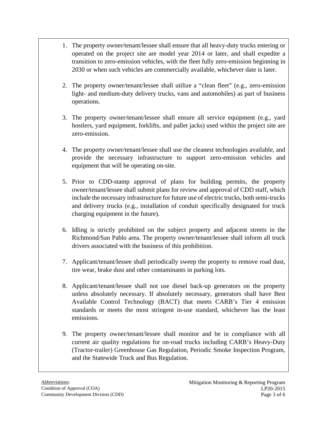- 1. The property owner/tenant/lessee shall ensure that all heavy-duty trucks entering or operated on the project site are model year 2014 or later, and shall expedite a transition to zero-emission vehicles, with the fleet fully zero-emission beginning in 2030 or when such vehicles are commercially available, whichever date is later.
- 2. The property owner/tenant/lessee shall utilize a "clean fleet" (e.g., zero-emission light- and medium-duty delivery trucks, vans and automobiles) as part of business operations.
- 3. The property owner/tenant/lessee shall ensure all service equipment (e.g., yard hostlers, yard equipment, forklifts, and pallet jacks) used within the project site are zero-emission.
- 4. The property owner/tenant/lessee shall use the cleanest technologies available, and provide the necessary infrastructure to support zero-emission vehicles and equipment that will be operating on-site.
- 5. Prior to CDD-stamp approval of plans for building permits, the property owner/tenant/lessee shall submit plans for review and approval of CDD staff, which include the necessary infrastructure for future use of electric trucks, both semi-trucks and delivery trucks (e.g., installation of conduit specifically designated for truck charging equipment in the future).
- 6. Idling is strictly prohibited on the subject property and adjacent streets in the Richmond/San Pablo area. The property owner/tenant/lessee shall inform all truck drivers associated with the business of this prohibition.
- 7. Applicant/tenant/lessee shall periodically sweep the property to remove road dust, tire wear, brake dust and other contaminants in parking lots.
- 8. Applicant/tenant/lessee shall not use diesel back-up generators on the property unless absolutely necessary. If absolutely necessary, generators shall have Best Available Control Technology (BACT) that meets CARB's Tier 4 emission standards or meets the most stringent in-use standard, whichever has the least emissions.
- 9. The property owner/tenant/lessee shall monitor and be in compliance with all current air quality regulations for on-road trucks including CARB's Heavy-Duty (Tractor-trailer) Greenhouse Gas Regulation, Periodic Smoke Inspection Program, and the Statewide Truck and Bus Regulation.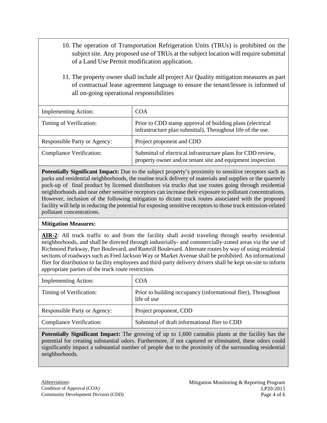- 10. The operation of Transportation Refrigeration Units (TRUs) is prohibited on the subject site. Any proposed use of TRUs at the subject location will require submittal of a Land Use Permit modification application.
- 11. The property owner shall include all project Air Quality mitigation measures as part of contractual lease agreement language to ensure the tenant/lessee is informed of all on-going operational responsibilities

| <b>Implementing Action:</b>         | <b>COA</b>                                                                                                                 |
|-------------------------------------|----------------------------------------------------------------------------------------------------------------------------|
| Timing of Verification:             | Prior to CDD stamp approval of building plans (electrical<br>infrastructure plan submittal), Throughout life of the use.   |
| <b>Responsible Party or Agency:</b> | Project proponent and CDD                                                                                                  |
| <b>Compliance Verification:</b>     | Submittal of electrical infrastructure plans for CDD review,<br>property owner and/or tenant site and equipment inspection |

**Potentially Significant Impact:** Due to the subject property's proximity to sensitive receptors such as parks and residential neighborhoods, the routine truck delivery of materials and supplies or the quarterly puck-up of final product by licensed distributors via trucks that use routes going through residential neighborhoods and near other sensitive receptors can increase their exposure to pollutant concentrations. However, inclusion of the following mitigation to dictate truck routes associated with the proposed facility will help in reducing the potential for exposing sensitive receptors to those truck emission-related pollutant concentrations.

## **Mitigation Measures:**

**AIR-2**: All truck traffic to and from the facility shall avoid traveling through nearby residential neighborhoods, and shall be directed through industrially- and commercially-zoned areas via the use of Richmond Parkway, Parr Boulevard, and Rumrill Boulevard. Alternate routes by way of using residential sections of roadways such as Fred Jackson Way or Market Avenue shall be prohibited. An informational flier for distribution to facility employees and third-party delivery drivers shall be kept on-site to inform appropriate parties of the truck route restriction.

| <b>Implementing Action:</b>         | <b>COA</b>                                                                   |
|-------------------------------------|------------------------------------------------------------------------------|
| Timing of Verification:             | Prior to building occupancy (informational flier), Throughout<br>life of use |
| <b>Responsible Party or Agency:</b> | Project proponent, CDD                                                       |
| Compliance Verification:            | Submittal of draft informational flier to CDD                                |

**Potentially Significant Impact:** The growing of up to 1,600 cannabis plants at the facility has the potential for creating substantial odors. Furthermore, if not captured or eliminated, these odors could significantly impact a substantial number of people due to the proximity of the surrounding residential neighborhoods.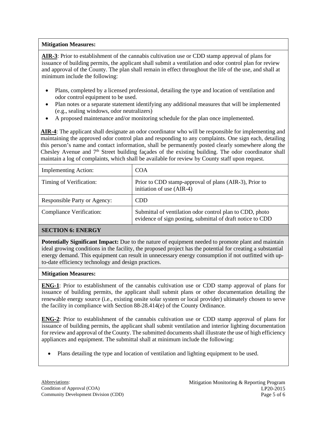# **Mitigation Measures:**

**AIR-3**: Prior to establishment of the cannabis cultivation use or CDD stamp approval of plans for issuance of building permits, the applicant shall submit a ventilation and odor control plan for review and approval of the County. The plan shall remain in effect throughout the life of the use, and shall at minimum include the following:

- Plans, completed by a licensed professional, detailing the type and location of ventilation and odor control equipment to be used.
- Plan notes or a separate statement identifying any additional measures that will be implemented (e.g., sealing windows, odor neutralizers)
- A proposed maintenance and/or monitoring schedule for the plan once implemented.

**AIR-4**: The applicant shall designate an odor coordinator who will be responsible for implementing and maintaining the approved odor control plan and responding to any complaints. One sign each, detailing this person's name and contact information, shall be permanently posted clearly somewhere along the Chesley Avenue and  $7<sup>th</sup>$  Street building facades of the existing building. The odor coordinator shall maintain a log of complaints, which shall be available for review by County staff upon request.

| <b>Implementing Action:</b>         | <b>COA</b>                                                                                                             |
|-------------------------------------|------------------------------------------------------------------------------------------------------------------------|
| Timing of Verification:             | Prior to CDD stamp-approval of plans (AIR-3), Prior to<br>initiation of use (AIR-4)                                    |
| <b>Responsible Party or Agency:</b> | CDD.                                                                                                                   |
| <b>Compliance Verification:</b>     | Submittal of ventilation odor control plan to CDD, photo<br>evidence of sign posting, submittal of draft notice to CDD |

# **SECTION 6: ENERGY**

**Potentially Significant Impact:** Due to the nature of equipment needed to promote plant and maintain ideal growing conditions in the facility, the proposed project has the potential for creating a substantial energy demand. This equipment can result in unnecessary energy consumption if not outfitted with upto-date efficiency technology and design practices.

## **Mitigation Measures:**

**ENG-1**: Prior to establishment of the cannabis cultivation use or CDD stamp approval of plans for issuance of building permits, the applicant shall submit plans or other documentation detailing the renewable energy source (i.e., existing onsite solar system or local provider) ultimately chosen to serve the facility in compliance with Section 88-28.414(e) of the County Ordinance.

**ENG-2**: Prior to establishment of the cannabis cultivation use or CDD stamp approval of plans for issuance of building permits, the applicant shall submit ventilation and interior lighting documentation for review and approval of the County. The submitted documents shall illustrate the use of high efficiency appliances and equipment. The submittal shall at minimum include the following:

• Plans detailing the type and location of ventilation and lighting equipment to be used.